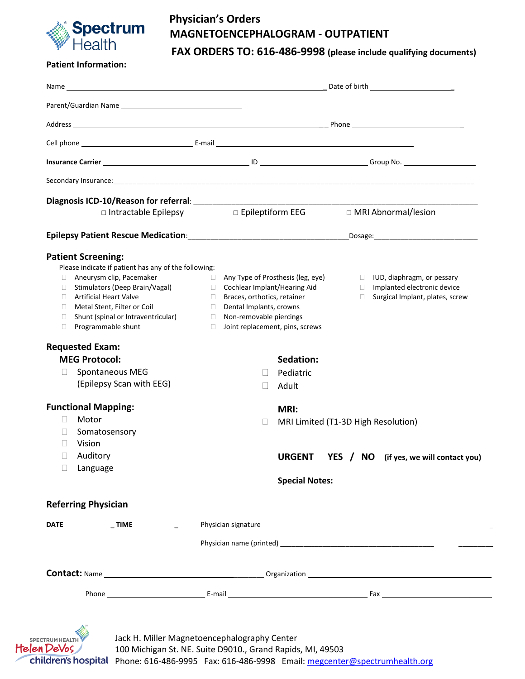

# **Physician's Orders MAGNETOENCEPHALOGRAM - OUTPATIENT**

**FAX ORDERS TO: 616-486-9998 (please include qualifying documents)**

#### **Patient Information:**

| □ Intractable Epilepsy                                       | D Epileptiform EEG                                               |                                                                                                                   | □ MRI Abnormal/lesion |                                                                       |
|--------------------------------------------------------------|------------------------------------------------------------------|-------------------------------------------------------------------------------------------------------------------|-----------------------|-----------------------------------------------------------------------|
|                                                              |                                                                  |                                                                                                                   |                       |                                                                       |
| <b>Patient Screening:</b>                                    |                                                                  |                                                                                                                   |                       |                                                                       |
| Please indicate if patient has any of the following:         |                                                                  |                                                                                                                   |                       |                                                                       |
| Aneurysm clip, Pacemaker                                     |                                                                  | $\Box$ Any Type of Prosthesis (leg, eye) $\Box$ IUD, diaphragm, or pessary<br>$\Box$ Cochlear Implant/Hearing Aid |                       |                                                                       |
| □ Stimulators (Deep Brain/Vagal)<br>□ Artificial Heart Valve | a ka                                                             |                                                                                                                   |                       | Implanted electronic device<br>$\Box$ Surgical Implant, plates, screw |
| □ Metal Stent, Filter or Coil                                | Braces, orthotics, retainer<br>Dental Implants, crowns<br>$\Box$ |                                                                                                                   |                       |                                                                       |
| Shunt (spinal or Intraventricular)<br>$\Box$                 | Non-removable piercings<br>$\Box$                                |                                                                                                                   |                       |                                                                       |
| Programmable shunt<br>П.                                     | $\Box$                                                           | Joint replacement, pins, screws                                                                                   |                       |                                                                       |
| <b>Requested Exam:</b>                                       |                                                                  |                                                                                                                   |                       |                                                                       |
| <b>MEG Protocol:</b>                                         |                                                                  | Sedation:                                                                                                         |                       |                                                                       |
| Spontaneous MEG<br>$\mathbf{L}$                              |                                                                  | Pediatric                                                                                                         |                       |                                                                       |
| (Epilepsy Scan with EEG)                                     |                                                                  | Adult<br>$\Box$                                                                                                   |                       |                                                                       |
| <b>Functional Mapping:</b>                                   |                                                                  | MRI:                                                                                                              |                       |                                                                       |
| Motor<br>H                                                   | П                                                                |                                                                                                                   |                       |                                                                       |
| П<br>Somatosensory                                           |                                                                  | MRI Limited (T1-3D High Resolution)                                                                               |                       |                                                                       |
| Vision                                                       |                                                                  |                                                                                                                   |                       |                                                                       |
| Auditory                                                     |                                                                  |                                                                                                                   |                       |                                                                       |
|                                                              |                                                                  | <b>URGENT</b>                                                                                                     |                       | YES / NO (if yes, we will contact you)                                |
| $\Box$ Language                                              |                                                                  |                                                                                                                   |                       |                                                                       |
|                                                              |                                                                  | <b>Special Notes:</b>                                                                                             |                       |                                                                       |
| <b>Referring Physician</b>                                   |                                                                  |                                                                                                                   |                       |                                                                       |
|                                                              |                                                                  |                                                                                                                   |                       |                                                                       |
|                                                              |                                                                  |                                                                                                                   |                       |                                                                       |
|                                                              |                                                                  |                                                                                                                   |                       |                                                                       |
|                                                              |                                                                  |                                                                                                                   |                       |                                                                       |

Phone: 616-486-9995 Fax: 616-486-9998 Email[: megcenter@spectrumhealth.org](mailto:megcenter@spectrumhealth.org)